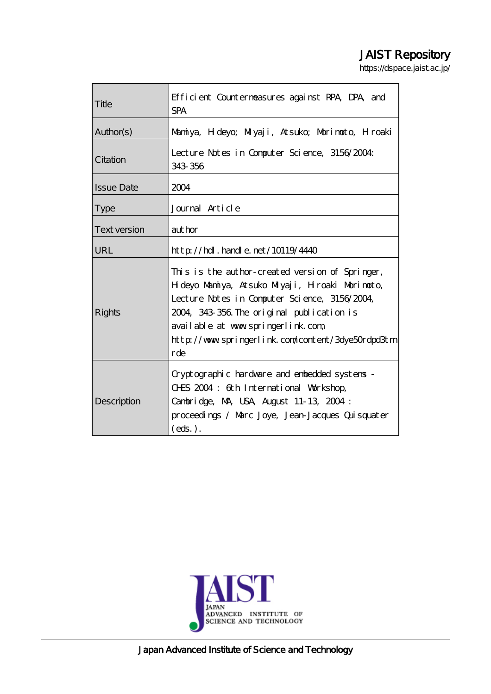# JAIST Repository

https://dspace.jaist.ac.jp/

| Title               | Efficient Counterneasures against RPA DPA and<br><b>SPA</b>                                                                                                                                                                                                                                        |  |  |  |
|---------------------|----------------------------------------------------------------------------------------------------------------------------------------------------------------------------------------------------------------------------------------------------------------------------------------------------|--|--|--|
| Author(s)           | Maninya, H deyo; Milyaji, Atsuko; Morinoto, H roaki                                                                                                                                                                                                                                                |  |  |  |
| Citation            | Lecture Notes in Computer Science, 3156/2004:<br>343 356                                                                                                                                                                                                                                           |  |  |  |
| <b>Issue Date</b>   | 2004                                                                                                                                                                                                                                                                                               |  |  |  |
| <b>Type</b>         | Journal Article                                                                                                                                                                                                                                                                                    |  |  |  |
| <b>Text version</b> | aut hor                                                                                                                                                                                                                                                                                            |  |  |  |
| URL                 | http://hdl.handle.net/10119/4440                                                                                                                                                                                                                                                                   |  |  |  |
| Rights              | This is the author-created version of Springer,<br>H deyo Maniya, Atsuko Miyaji, H roaki Morinoto,<br>Lecture Notes in Computer Science, 3156/2004,<br>2004, 343 356. The original publication is<br>available at www.springerlink.com<br>http://www.springerlink.com/content/3dye50rdpd3tm<br>rde |  |  |  |
| Description         | Gryptographic hardware and enbedded systems -<br>OHS 2004: Oth International Workshop,<br>Cantoridge, MA, USA, August 11-13, 2004:<br>proceedings / Marc Joye, Jean-Jacques Quisquater<br>$(\text{eds.})$ .                                                                                        |  |  |  |



Japan Advanced Institute of Science and Technology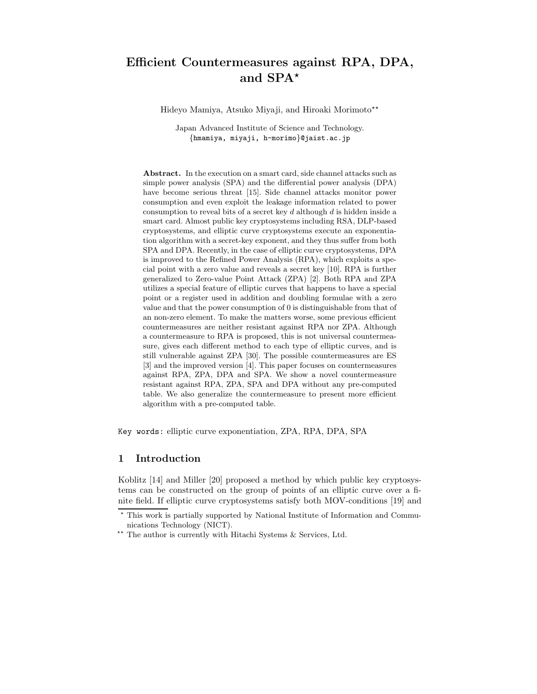## **Efficient Countermeasures against RPA, DPA, and SPA**

Hideyo Mamiya, Atsuko Miyaji, and Hiroaki Morimoto

Japan Advanced Institute of Science and Technology. *{*hmamiya, miyaji, h-morimo*}*@jaist.ac.jp

**Abstract.** In the execution on a smart card, side channel attacks such as simple power analysis (SPA) and the differential power analysis (DPA) have become serious threat [15]. Side channel attacks monitor power consumption and even exploit the leakage information related to power consumption to reveal bits of a secret key *d* although *d* is hidden inside a smart card. Almost public key cryptosystems including RSA, DLP-based cryptosystems, and elliptic curve cryptosystems execute an exponentiation algorithm with a secret-key exponent, and they thus suffer from both SPA and DPA. Recently, in the case of elliptic curve cryptosystems, DPA is improved to the Refined Power Analysis (RPA), which exploits a special point with a zero value and reveals a secret key [10]. RPA is further generalized to Zero-value Point Attack (ZPA) [2]. Both RPA and ZPA utilizes a special feature of elliptic curves that happens to have a special point or a register used in addition and doubling formulae with a zero value and that the power consumption of 0 is distinguishable from that of an non-zero element. To make the matters worse, some previous efficient countermeasures are neither resistant against RPA nor ZPA. Although a countermeasure to RPA is proposed, this is not universal countermeasure, gives each different method to each type of elliptic curves, and is still vulnerable against ZPA [30]. The possible countermeasures are ES [3] and the improved version [4]. This paper focuses on countermeasures against RPA, ZPA, DPA and SPA. We show a novel countermeasure resistant against RPA, ZPA, SPA and DPA without any pre-computed table. We also generalize the countermeasure to present more efficient algorithm with a pre-computed table.

Key words: elliptic curve exponentiation, ZPA, RPA, DPA, SPA

### **1 Introduction**

Koblitz [14] and Miller [20] proposed a method by which public key cryptosystems can be constructed on the group of points of an elliptic curve over a finite field. If elliptic curve cryptosystems satisfy both MOV-conditions [19] and

This work is partially supported by National Institute of Information and Communications Technology (NICT).

<sup>\*\*</sup> The author is currently with Hitachi Systems & Services, Ltd.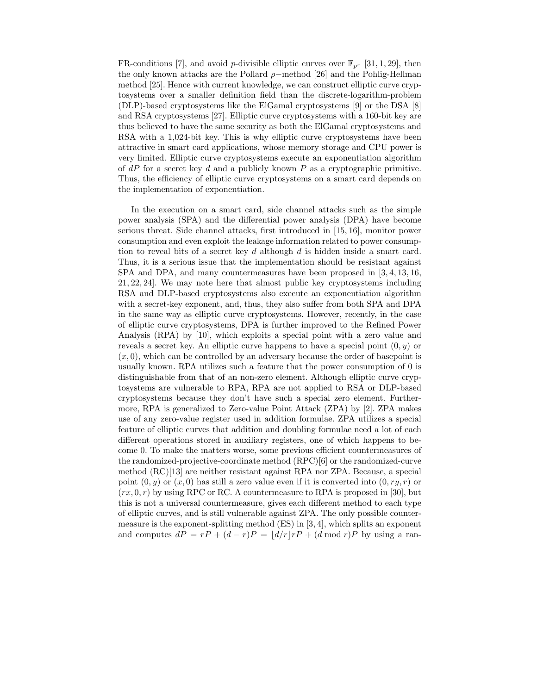FR-conditions [7], and avoid p-divisible elliptic curves over  $\mathbb{F}_{p^r}$  [31, 1, 29], then the only known attacks are the Pollard  $\rho$ –method [26] and the Pohlig-Hellman method [25]. Hence with current knowledge, we can construct elliptic curve cryptosystems over a smaller definition field than the discrete-logarithm-problem (DLP)-based cryptosystems like the ElGamal cryptosystems [9] or the DSA [8] and RSA cryptosystems [27]. Elliptic curve cryptosystems with a 160-bit key are thus believed to have the same security as both the ElGamal cryptosystems and RSA with a 1,024-bit key. This is why elliptic curve cryptosystems have been attractive in smart card applications, whose memory storage and CPU power is very limited. Elliptic curve cryptosystems execute an exponentiation algorithm of  $dP$  for a secret key d and a publicly known P as a cryptographic primitive. Thus, the efficiency of elliptic curve cryptosystems on a smart card depends on the implementation of exponentiation.

In the execution on a smart card, side channel attacks such as the simple power analysis (SPA) and the differential power analysis (DPA) have become serious threat. Side channel attacks, first introduced in [15, 16], monitor power consumption and even exploit the leakage information related to power consumption to reveal bits of a secret key d although d is hidden inside a smart card. Thus, it is a serious issue that the implementation should be resistant against SPA and DPA, and many countermeasures have been proposed in [3, 4, 13, 16, 21, 22, 24]. We may note here that almost public key cryptosystems including RSA and DLP-based cryptosystems also execute an exponentiation algorithm with a secret-key exponent, and, thus, they also suffer from both SPA and DPA in the same way as elliptic curve cryptosystems. However, recently, in the case of elliptic curve cryptosystems, DPA is further improved to the Refined Power Analysis (RPA) by [10], which exploits a special point with a zero value and reveals a secret key. An elliptic curve happens to have a special point  $(0, y)$  or  $(x, 0)$ , which can be controlled by an adversary because the order of basepoint is usually known. RPA utilizes such a feature that the power consumption of 0 is distinguishable from that of an non-zero element. Although elliptic curve cryptosystems are vulnerable to RPA, RPA are not applied to RSA or DLP-based cryptosystems because they don't have such a special zero element. Furthermore, RPA is generalized to Zero-value Point Attack (ZPA) by [2]. ZPA makes use of any zero-value register used in addition formulae. ZPA utilizes a special feature of elliptic curves that addition and doubling formulae need a lot of each different operations stored in auxiliary registers, one of which happens to become 0. To make the matters worse, some previous efficient countermeasures of the randomized-pro jective-coordinate method (RPC)[6] or the randomized-curve method (RC)[13] are neither resistant against RPA nor ZPA. Because, a special point  $(0, y)$  or  $(x, 0)$  has still a zero value even if it is converted into  $(0, ry, r)$  or  $(rx, 0, r)$  by using RPC or RC. A countermeasure to RPA is proposed in [30], but this is not a universal countermeasure, gives each different method to each type of elliptic curves, and is still vulnerable against ZPA. The only possible countermeasure is the exponent-splitting method (ES) in [3, 4], which splits an exponent and computes  $dP = rP + (d-r)P = \lfloor d/r \rfloor rP + (d \mod r)P$  by using a ran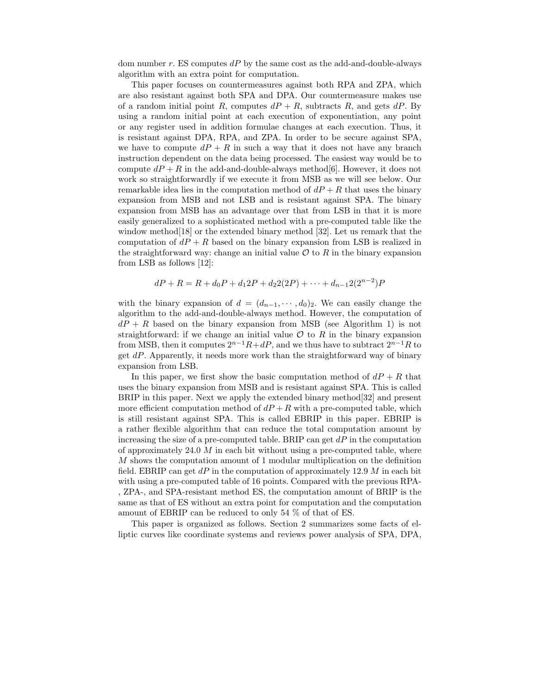dom number r. ES computes  $dP$  by the same cost as the add-and-double-always algorithm with an extra point for computation.

This paper focuses on countermeasures against both RPA and ZPA, which are also resistant against both SPA and DPA. Our countermeasure makes use of a random initial point R, computes  $dP + R$ , subtracts R, and gets  $dP$ . By using a random initial point at each execution of exponentiation, any point or any register used in addition formulae changes at each execution. Thus, it is resistant against DPA, RPA, and ZPA. In order to be secure against SPA, we have to compute  $dP + R$  in such a way that it does not have any branch instruction dependent on the data being processed. The easiest way would be to compute  $dP + R$  in the add-and-double-always method [6]. However, it does not work so straightforwardly if we execute it from MSB as we will see below. Our remarkable idea lies in the computation method of  $dP + R$  that uses the binary expansion from MSB and not LSB and is resistant against SPA. The binary expansion from MSB has an advantage over that from LSB in that it is more easily generalized to a sophisticated method with a pre-computed table like the window method[18] or the extended binary method [32]. Let us remark that the computation of  $dP + R$  based on the binary expansion from LSB is realized in the straightforward way: change an initial value  $\mathcal O$  to R in the binary expansion from LSB as follows [12]:

$$
dP + R = R + d_0P + d_12P + d_22(2P) + \cdots + d_{n-1}2(2^{n-2})P
$$

with the binary expansion of  $d = (d_{n-1}, \dots, d_0)_2$ . We can easily change the algorithm to the add-and-double-always method. However, the computation of  $dP + R$  based on the binary expansion from MSB (see Algorithm 1) is not straightforward: if we change an initial value  $\mathcal O$  to R in the binary expansion from MSB, then it computes  $2^{n-1}R+dP$ , and we thus have to subtract  $2^{n-1}R$  to get  $dP$ . Apparently, it needs more work than the straightforward way of binary expansion from LSB.

In this paper, we first show the basic computation method of  $dP + R$  that uses the binary expansion from MSB and is resistant against SPA. This is called BRIP in this paper. Next we apply the extended binary method[32] and present more efficient computation method of  $dP + R$  with a pre-computed table, which is still resistant against SPA. This is called EBRIP in this paper. EBRIP is a rather flexible algorithm that can reduce the total computation amount by increasing the size of a pre-computed table. BRIP can get  $dP$  in the computation of approximately  $24.0 M$  in each bit without using a pre-computed table, where M shows the computation amount of 1 modular multiplication on the definition field. EBRIP can get  $dP$  in the computation of approximately 12.9 M in each bit with using a pre-computed table of 16 points. Compared with the previous RPA- , ZPA-, and SPA-resistant method ES, the computation amount of BRIP is the same as that of ES without an extra point for computation and the computation amount of EBRIP can be reduced to only 54 % of that of ES.

This paper is organized as follows. Section 2 summarizes some facts of elliptic curves like coordinate systems and reviews power analysis of SPA, DPA,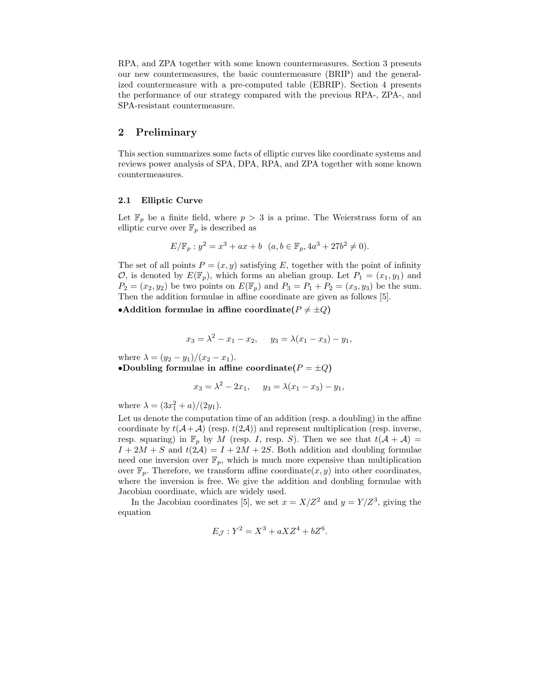RPA, and ZPA together with some known countermeasures. Section 3 presents our new countermeasures, the basic countermeasure (BRIP) and the generalized countermeasure with a pre-computed table (EBRIP). Section 4 presents the performance of our strategy compared with the previous RPA-, ZPA-, and SPA-resistant countermeasure.

## **2 Preliminary**

This section summarizes some facts of elliptic curves like coordinate systems and reviews power analysis of SPA, DPA, RPA, and ZPA together with some known countermeasures.

#### **2.1 Elliptic Curve**

Let  $\mathbb{F}_p$  be a finite field, where  $p > 3$  is a prime. The Weierstrass form of an elliptic curve over  $\mathbb{F}_p$  is described as

$$
E/\mathbb{F}_p : y^2 = x^3 + ax + b \ \ (a, b \in \mathbb{F}_p, 4a^3 + 27b^2 \neq 0).
$$

The set of all points  $P = (x, y)$  satisfying E, together with the point of infinity O, is denoted by  $E(\mathbb{F}_p)$ , which forms an abelian group. Let  $P_1 = (x_1, y_1)$  and  $P_2 = (x_2, y_2)$  be two points on  $E(\mathbb{F}_p)$  and  $P_3 = P_1 + P_2 = (x_3, y_3)$  be the sum. Then the addition formulae in affine coordinate are given as follows [5].

•**Addition formulae in affine coordinate** $(P \neq \pm Q)$ 

$$
x_3 = \lambda^2 - x_1 - x_2, \quad y_3 = \lambda(x_1 - x_3) - y_1,
$$

where  $\lambda = (y_2 - y_1)/(x_2 - x_1)$ . •**Doubling formulae in affine coordinate** $(P = \pm Q)$ 

$$
x_3 = \lambda^2 - 2x_1, \quad y_3 = \lambda(x_1 - x_3) - y_1,
$$

where  $\lambda = (3x_1^2 + a)/(2y_1)$ .

Let us denote the computation time of an addition (resp. a doubling) in the affine coordinate by  $t(\mathcal{A}+\mathcal{A})$  (resp.  $t(2\mathcal{A})$ ) and represent multiplication (resp. inverse, resp. squaring) in  $\mathbb{F}_p$  by M (resp. I, resp. S). Then we see that  $t(A + A) =$  $I + 2M + S$  and  $t(2\mathcal{A}) = I + 2M + 2S$ . Both addition and doubling formulae need one inversion over  $\mathbb{F}_p$ , which is much more expensive than multiplication over  $\mathbb{F}_p$ . Therefore, we transform affine coordinate(x, y) into other coordinates, where the inversion is free. We give the addition and doubling formulae with Jacobian coordinate, which are widely used.

In the Jacobian coordinates [5], we set  $x = X/Z^2$  and  $y = Y/Z^3$ , giving the equation

$$
E_{\mathcal{J}} : Y^2 = X^3 + aXZ^4 + bZ^6.
$$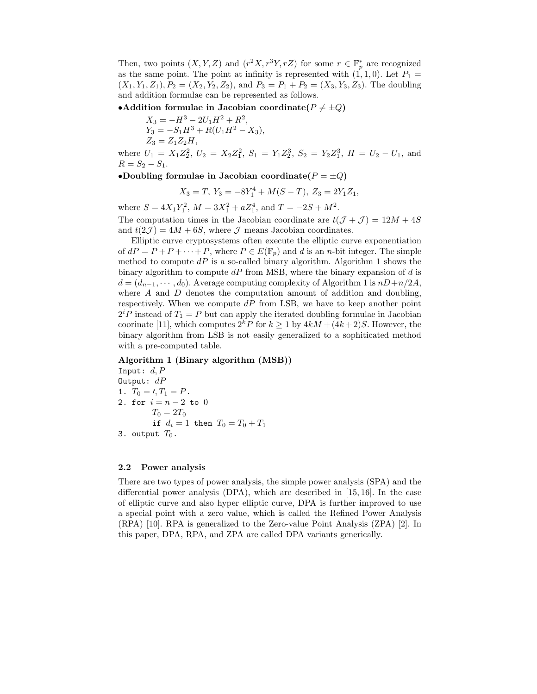Then, two points  $(X, Y, Z)$  and  $(r^2 X, r^3 Y, rZ)$  for some  $r \in \mathbb{F}_p^*$  are recognized as the same point. The point at infinity is represented with  $(1, 1, 0)$ . Let  $P_1 =$  $(X_1, Y_1, Z_1), P_2 = (X_2, Y_2, Z_2),$  and  $P_3 = P_1 + P_2 = (X_3, Y_3, Z_3)$ . The doubling and addition formulae can be represented as follows.

•Addition formulae in Jacobian coordinate( $P \neq \pm Q$ )

 $X_3 = -H^3 - 2U_1H^2 + R^2$ ,  $Y_3 = -S_1H^3 + R(U_1H^2 - X_3),$  $Z_3 = Z_1 Z_2 H$ ,

where  $U_1 = X_1 Z_2^2$ ,  $U_2 = X_2 Z_1^2$ ,  $S_1 = Y_1 Z_2^3$ ,  $S_2 = Y_2 Z_1^3$ ,  $H = U_2 - U_1$ , and  $R = S_2 - S_1.$ 

•**Doubling formulae in Jacobian coordinate** $(P = \pm Q)$ 

$$
X_3 = T, Y_3 = -8Y_1^4 + M(S - T), Z_3 = 2Y_1Z_1,
$$

where  $S = 4X_1Y_1^2$ ,  $M = 3X_1^2 + aZ_1^4$ , and  $T = -2S + M^2$ .

The computation times in the Jacobian coordinate are  $t(\mathcal{J} + \mathcal{J}) = 12M + 4S$ and  $t(2\mathcal{J})=4M+6S$ , where  $\mathcal J$  means Jacobian coordinates.

Elliptic curve cryptosystems often execute the elliptic curve exponentiation of  $dP = P + P + \cdots + P$ , where  $P \in E(\mathbb{F}_p)$  and d is an *n*-bit integer. The simple method to compute  $dP$  is a so-called binary algorithm. Algorithm 1 shows the binary algorithm to compute  $dP$  from MSB, where the binary expansion of  $d$  is  $d = (d_{n-1}, \dots, d_0)$ . Average computing complexity of Algorithm 1 is  $nD+n/2A$ , where  $A$  and  $D$  denotes the computation amount of addition and doubling, respectively. When we compute  $dP$  from LSB, we have to keep another point  $2^{i}P$  instead of  $T_1 = P$  but can apply the iterated doubling formulae in Jacobian coorinate [11], which computes  $2^k P$  for  $k \ge 1$  by  $4kM + (4k+2)S$ . However, the binary algorithm from LSB is not easily generalized to a sophiticated method with a pre-computed table.

**Algorithm 1 (Binary algorithm (MSB))**

Input:  $d, P$ Output:  $dP$ 1.  $T_0 = I, T_1 = P$ . 2. for  $i = n - 2$  to 0  $T_0 = 2T_0$ if  $d_i = 1$  then  $T_0 = T_0 + T_1$ 3. output  $T_0$ .

#### **2.2 Power analysis**

There are two types of power analysis, the simple power analysis (SPA) and the differential power analysis (DPA), which are described in [15, 16]. In the case of elliptic curve and also hyper elliptic curve, DPA is further improved to use a special point with a zero value, which is called the Refined Power Analysis (RPA) [10]. RPA is generalized to the Zero-value Point Analysis (ZPA) [2]. In this paper, DPA, RPA, and ZPA are called DPA variants generically.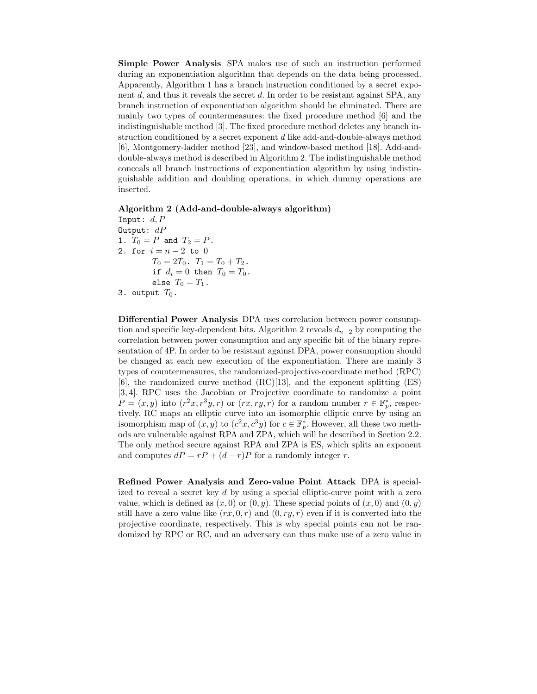**Simple Power Analysis** SPA makes use of such an instruction performed during an exponentiation algorithm that depends on the data being processed. Apparently, Algorithm 1 has a branch instruction conditioned by a secret exponent  $d$ , and thus it reveals the secret  $d$ . In order to be resistant against SPA, any branch instruction of exponentiation algorithm should be eliminated. There are mainly two types of countermeasures: the fixed procedure method [6] and the indistinguishable method [3]. The fixed procedure method deletes any branch instruction conditioned by a secret exponent d like add-and-double-always method [6], Montgomery-ladder method [23], and window-based method [18]. Add-anddouble-always method is described in Algorithm 2. The indistinguishable method conceals all branch instructions of exponentiation algorithm by using indistinguishable addition and doubling operations, in which dummy operations are inserted.

#### **Algorithm 2 (Add-and-double-always algorithm)**

Input:  $d, P$ Output:  $dP$ 1.  $T_0 = P$  and  $T_2 = P$ . 2. for  $i = n - 2$  to 0  $T_0 = 2T_0$ .  $T_1 = T_0 + T_2$ . if  $d_i = 0$  then  $T_0 = T_0$ . else  $T_0 = T_1$ . 3. output  $T_0$ .

**Differential Power Analysis** DPA uses correlation between power consumption and specific key-dependent bits. Algorithm 2 reveals  $d_{n-2}$  by computing the correlation between power consumption and any specific bit of the binary representation of 4P. In order to be resistant against DPA, power consumption should be changed at each new execution of the exponentiation. There are mainly 3 types of countermeasures, the randomized-pro jective-coordinate method (RPC) [6], the randomized curve method  $(RC)[13]$ , and the exponent splitting  $(ES)$ [3, 4]. RPC uses the Jacobian or Projective coordinate to randomize a point  $P = (x, y)$  into  $(r^2x, r^3y, r)$  or  $(rx, ry, r)$  for a random number  $r \in \mathbb{F}_p^*$ , respectively. RC maps an elliptic curve into an isomorphic elliptic curve by using an isomorphism map of  $(x, y)$  to  $(c^2x, c^3y)$  for  $c \in \mathbb{F}_p^*$ . However, all these two methods are vulnerable against RPA and ZPA, which will be described in Section 2.2. The only method secure against RPA and ZPA is ES, which splits an exponent and computes  $dP = rP + (d - r)P$  for a randomly integer r.

**Refined Power Analysis and Zero-value Point Attack** DPA is specialized to reveal a secret key  $d$  by using a special elliptic-curve point with a zero value, which is defined as  $(x, 0)$  or  $(0, y)$ . These special points of  $(x, 0)$  and  $(0, y)$ still have a zero value like  $(rx, 0, r)$  and  $(0, ry, r)$  even if it is converted into the projective coordinate, respectively. This is why special points can not be randomized by RPC or RC, and an adversary can thus make use of a zero value in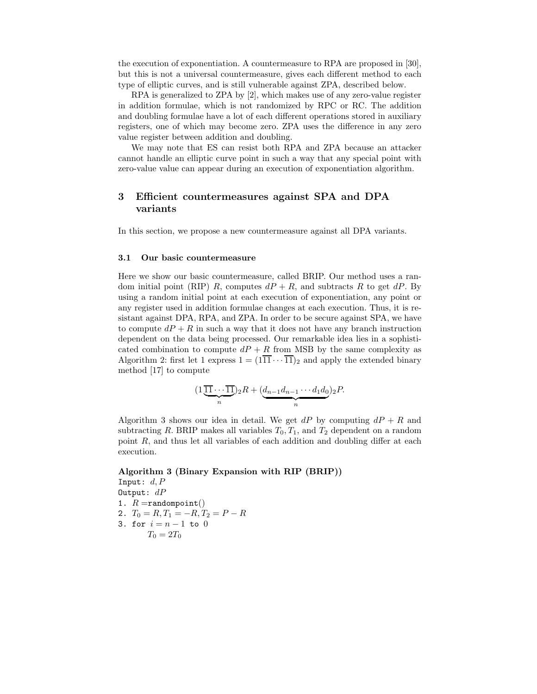the execution of exponentiation. A countermeasure to RPA are proposed in [30], but this is not a universal countermeasure, gives each different method to each type of elliptic curves, and is still vulnerable against ZPA, described below.

RPA is generalized to ZPA by [2], which makes use of any zero-value register in addition formulae, which is not randomized by RPC or RC. The addition and doubling formulae have a lot of each different operations stored in auxiliary registers, one of which may become zero. ZPA uses the difference in any zero value register between addition and doubling.

We may note that ES can resist both RPA and ZPA because an attacker cannot handle an elliptic curve point in such a way that any special point with zero-value value can appear during an execution of exponentiation algorithm.

## **3 Efficient countermeasures against SPA and DPA variants**

In this section, we propose a new countermeasure against all DPA variants.

#### **3.1 Our basic countermeasure**

Here we show our basic countermeasure, called BRIP. Our method uses a random initial point (RIP) R, computes  $dP + R$ , and subtracts R to get  $dP$ . By using a random initial point at each execution of exponentiation, any point or any register used in addition formulae changes at each execution. Thus, it is resistant against DPA, RPA, and ZPA. In order to be secure against SPA, we have to compute  $dP + R$  in such a way that it does not have any branch instruction dependent on the data being processed. Our remarkable idea lies in a sophisticated combination to compute  $dP + R$  from MSB by the same complexity as Algorithm 2: first let 1 express  $1 = (\overline{111} \cdots \overline{11})_2$  and apply the extended binary method [17] to compute

$$
(1 \underbrace{\overline{11} \cdots \overline{11}}_n)_2 R + \underbrace{(d_{n-1}d_{n-1} \cdots d_1d_0)}_n{}_2 P.
$$

Algorithm 3 shows our idea in detail. We get  $dP$  by computing  $dP + R$  and subtracting R. BRIP makes all variables  $T_0, T_1$ , and  $T_2$  dependent on a random point R, and thus let all variables of each addition and doubling differ at each execution.

#### **Algorithm 3 (Binary Expansion with RIP (BRIP))**

Input:  $d, P$ Output:  $dP$ 1.  $R = \text{randompoint}()$ 2.  $T_0 = R, T_1 = -R, T_2 = P - R$ 3. for  $i = n - 1$  to 0  $T_0 = 2T_0$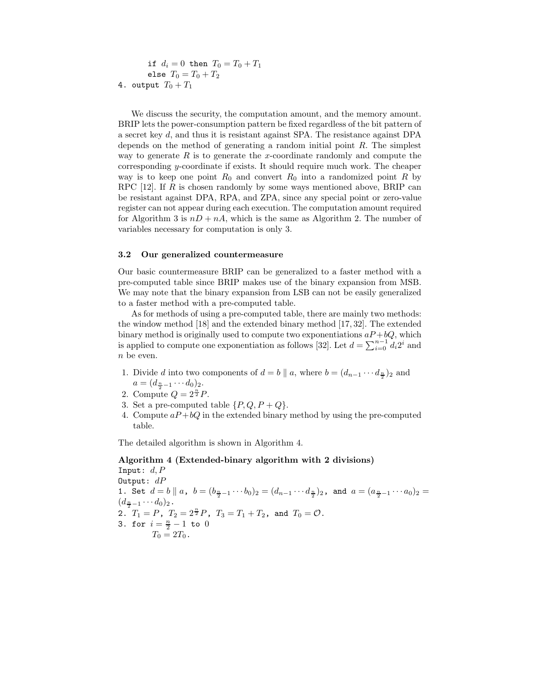if  $d_i = 0$  then  $T_0 = T_0 + T_1$ else  $T_0 = T_0 + T_2$ 4. output  $T_0 + T_1$ 

We discuss the security, the computation amount, and the memory amount. BRIP lets the power-consumption pattern be fixed regardless of the bit pattern of a secret key d, and thus it is resistant against SPA. The resistance against DPA depends on the method of generating a random initial point  $R$ . The simplest way to generate  $R$  is to generate the x-coordinate randomly and compute the corresponding y-coordinate if exists. It should require much work. The cheaper way is to keep one point  $R_0$  and convert  $R_0$  into a randomized point R by RPC  $[12]$ . If R is chosen randomly by some ways mentioned above, BRIP can be resistant against DPA, RPA, and ZPA, since any special point or zero-value register can not appear during each execution. The computation amount required for Algorithm 3 is  $nD + nA$ , which is the same as Algorithm 2. The number of variables necessary for computation is only 3.

#### **3.2 Our generalized countermeasure**

Our basic countermeasure BRIP can be generalized to a faster method with a pre-computed table since BRIP makes use of the binary expansion from MSB. We may note that the binary expansion from LSB can not be easily generalized to a faster method with a pre-computed table.

As for methods of using a pre-computed table, there are mainly two methods: the window method [18] and the extended binary method [17, 32]. The extended binary method is originally used to compute two exponentiations  $aP + bQ$ , which is applied to compute one exponentiation as follows [32]. Let  $d = \sum_{i=0}^{n-1} d_i 2^i$  and n be even.

- 1. Divide d into two components of  $d = b \parallel a$ , where  $b = (d_{n-1} \cdots d_{\frac{n}{2}})_2$  and  $a = (d_{\frac{n}{2}-1} \cdots d_0)_2.$
- 2. Compute  $Q = 2^{\frac{n}{2}}P$ .
- 3. Set a pre-computed table  $\{P,Q,P+Q\}.$
- 4. Compute  $aP+bQ$  in the extended binary method by using the pre-computed table.

The detailed algorithm is shown in Algorithm 4.

## **Algorithm 4 (Extended-binary algorithm with 2 divisions)**

Input:  $d, P$ Output:  $dP$ 1. Set  $d = b \parallel a$ ,  $b = (b_{\frac{n}{2}-1} \cdots b_0)_2 = (d_{n-1} \cdots d_{\frac{n}{2}})_2$ , and  $a = (a_{\frac{n}{2}-1} \cdots a_0)_2 =$  $(d_{\frac{n}{2}-1}\cdots d_0)_2$ . 2.  $T_1 = P$ ,  $T_2 = 2^{\frac{n}{2}}P$ ,  $T_3 = T_1 + T_2$ , and  $T_0 = \mathcal{O}$ . 3. for  $i = \frac{n}{2} - 1$  to 0  $T_0 = 2T_0$ .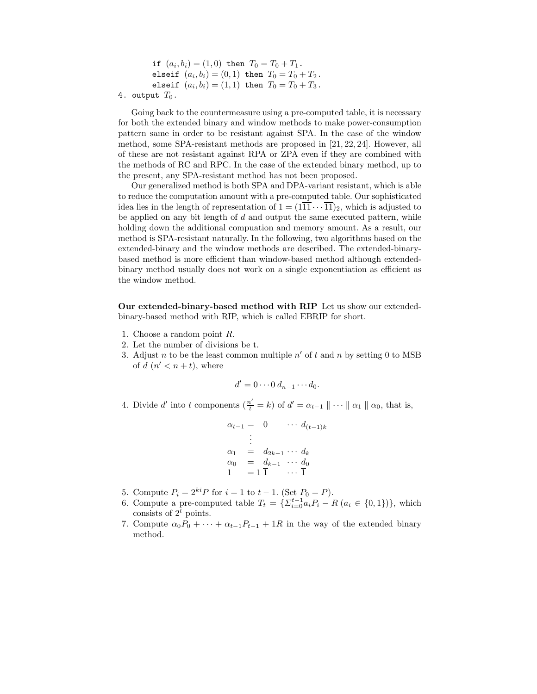```
if (a_i, b_i) = (1, 0) then T_0 = T_0 + T_1.
elseif (a_i, b_i) = (0, 1) then T_0 = T_0 + T_2.
elseif (a_i, b_i) = (1, 1) then T_0 = T_0 + T_3.
```
4. output  $T_0$ .

Going back to the countermeasure using a pre-computed table, it is necessary for both the extended binary and window methods to make power-consumption pattern same in order to be resistant against SPA. In the case of the window method, some SPA-resistant methods are proposed in [21, 22, 24]. However, all of these are not resistant against RPA or ZPA even if they are combined with the methods of RC and RPC. In the case of the extended binary method, up to the present, any SPA-resistant method has not been proposed.

Our generalized method is both SPA and DPA-variant resistant, which is able to reduce the computation amount with a pre-computed table. Our sophisticated idea lies in the length of representation of  $1 = (1\overline{11} \cdots \overline{11})_2$ , which is adjusted to be applied on any bit length of  $d$  and output the same executed pattern, while holding down the additional compuation and memory amount. As a result, our method is SPA-resistant naturally. In the following, two algorithms based on the extended-binary and the window methods are described. The extended-binarybased method is more efficient than window-based method although extendedbinary method usually does not work on a single exponentiation as efficient as the window method.

**Our extended-binary-based method with RIP** Let us show our extendedbinary-based method with RIP, which is called EBRIP for short.

- 1. Choose a random point R.
- 2. Let the number of divisions be t.
- 3. Adjust n to be the least common multiple  $n'$  of t and n by setting 0 to MSB of  $d (n' < n + t)$ , where

$$
d'=0\cdots 0\,d_{n-1}\cdots d_0.
$$

4. Divide d' into t components  $(\frac{n'}{t} = k)$  of  $d' = \alpha_{t-1} \|\cdots \|\alpha_1 \|\alpha_0$ , that is,

$$
\alpha_{t-1} = 0 \qquad \cdots d_{(t-1)k}
$$

$$
\vdots
$$

$$
\alpha_1 = d_{2k-1} \cdots d_k
$$

$$
\alpha_0 = d_{k-1} \cdots d_0
$$

$$
1 = 1 \overline{1} \qquad \cdots \overline{1}
$$

- 5. Compute  $P_i = 2^{ki}P$  for  $i = 1$  to  $t 1$ . (Set  $P_0 = P$ ).
- 6. Compute a pre-computed table  $T_t = \{ \sum_{i=0}^{t-1} a_i P_i R (a_i \in \{0,1\}) \}$ , which consists of  $2<sup>t</sup>$  points.
- 7. Compute  $\alpha_0 P_0 + \cdots + \alpha_{t-1} P_{t-1} + 1R$  in the way of the extended binary method.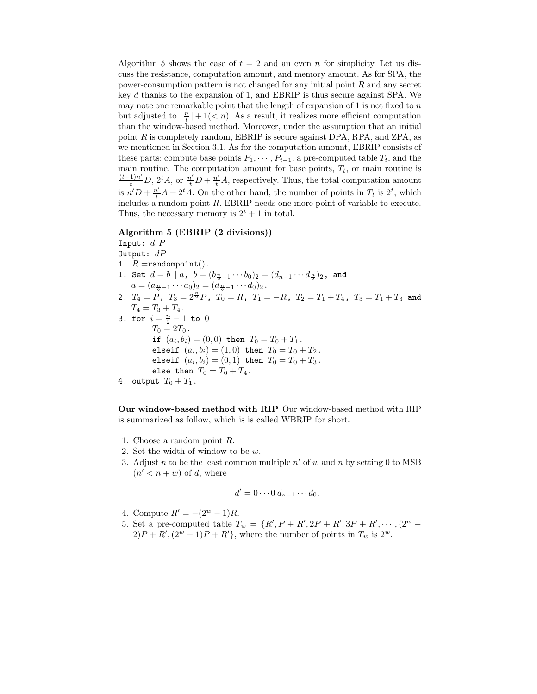Algorithm 5 shows the case of  $t = 2$  and an even n for simplicity. Let us discuss the resistance, computation amount, and memory amount. As for SPA, the power-consumption pattern is not changed for any initial point R and any secret key d thanks to the expansion of 1, and EBRIP is thus secure against SPA. We may note one remarkable point that the length of expansion of 1 is not fixed to  $n$ but adjusted to  $\lceil \frac{n}{t} \rceil + 1 \le n$ . As a result, it realizes more efficient computation than the window-based method. Moreover, under the assumption that an initial point R is completely random, EBRIP is secure against DPA, RPA, and ZPA, as we mentioned in Section 3.1. As for the computation amount, EBRIP consists of these parts: compute base points  $P_1, \cdots, P_{t-1}$ , a pre-computed table  $T_t$ , and the main routine. The computation amount for base points,  $T_t$ , or main routine is  $\frac{(t-1)n'}{t}D$ ,  $2^tA$ , or  $\frac{n'}{t}D + \frac{n'}{t}A$ , respectively. Thus, the total computation amount is  $n'D + \frac{n'}{t}A + 2tA$ . On the other hand, the number of points in  $T_t$  is  $2^t$ , which includes a random point R. EBRIP needs one more point of variable to execute. Thus, the necessary memory is  $2^t + 1$  in total.

#### **Algorithm 5 (EBRIP (2 divisions))**

Input:  $d, P$ Output:  $dP$ 

- 1.  $R = \text{randompoint}()$ .
- 1. Set  $d = b \parallel a$ ,  $b = (b_{\frac{n}{2}-1} \cdots b_0)_2 = (d_{n-1} \cdots d_{\frac{n}{2}})_2$ , and  $a = (a_{\frac{n}{2}-1} \cdots a_0)_2 = (\tilde{d}_{\frac{n}{2}-1} \cdots d_0)_2.$
- 2.  $T_4 = P$ ,  $T_3 = 2^{\frac{n}{2}} P$ ,  $T_0 = R$ ,  $T_1 = -R$ ,  $T_2 = T_1 + T_4$ ,  $T_3 = T_1 + T_3$  and  $T_4 = T_3 + T_4$ .
- 3. for  $i = \frac{n}{2} 1$  to 0  $T_0 = 2T_0$ . if  $(a_i, b_i) = (0, 0)$  then  $T_0 = T_0 + T_1$ . elseif  $(a_i, b_i) = (1, 0)$  then  $T_0 = T_0 + T_2$ . elseif  $(a_i, b_i) = (0, 1)$  then  $T_0 = T_0 + T_3$ . else then  $T_0 = T_0 + T_4$ .

4. output  $T_0 + T_1$ .

**Our window-based method with RIP** Our window-based method with RIP is summarized as follow, which is is called WBRIP for short.

- 1. Choose a random point R.
- 2. Set the width of window to be w.
- 3. Adjust n to be the least common multiple  $n'$  of w and n by setting 0 to MSB  $(n' < n + w)$  of d, where

$$
d'=0\cdots 0\,d_{n-1}\cdots d_0.
$$

- 4. Compute  $R' = -(2^w 1)R$ .
- 5. Set a pre-computed table  $T_w = \{R', P + R', 2P + R', 3P + R', \cdots, (2^w 2)P + R'$ ,  $(2^w - 1)P + R'$ , where the number of points in  $T_w$  is  $2^w$ .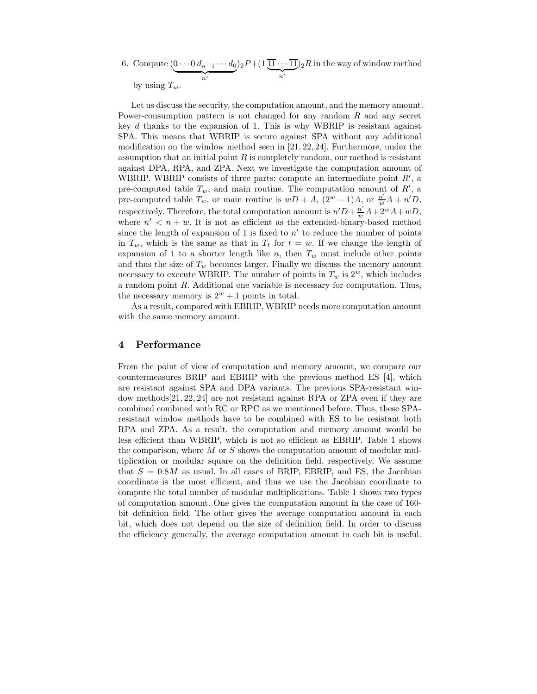6. Compute  $\underbrace{(0\cdots 0\ d_{n-1}\cdots d_0)}_{n'}2P+(1 \underbrace{\overline{11}\cdots \overline{11}}_{n'}$  $)$ <sub>2</sub>R in the way of window method by using  $T_w$ 

Let us discuss the security, the computation amount, and the memory amount. Power-consumption pattern is not changed for any random R and any secret key  $d$  thanks to the expansion of 1. This is why WBRIP is resistant against SPA. This means that WBRIP is secure against SPA without any additional modification on the window method seen in [21, 22, 24]. Furthermore, under the assumption that an initial point  $R$  is completely random, our method is resistant against DPA, RPA, and ZPA. Next we investigate the computation amount of WBRIP. WBRIP consists of three parts: compute an intermediate point  $R'$ , a pre-computed table  $T_w$ , and main routine. The computation amount of  $R'$ , a pre-computed table  $T_w$ , or main routine is  $wD + A$ ,  $(2^w - 1)A$ , or  $\frac{n'}{w}A + n'D$ , respectively. Therefore, the total computation amount is  $n'D + \frac{n'}{w}A + 2wA + wD$ , where  $n' < n + w$ . It is not as efficient as the extended-binary-based method since the length of expansion of 1 is fixed to  $n'$  to reduce the number of points in  $T_w$ , which is the same as that in  $T_t$  for  $t = w$ . If we change the length of expansion of 1 to a shorter length like  $n$ , then  $T_w$  must include other points and thus the size of  $T_w$  becomes larger. Finally we discuss the memory amount necessary to execute WBRIP. The number of points in  $T_w$  is  $2^w$ , which includes a random point R. Additional one variable is necessary for computation. Thus, the necessary memory is  $2^w + 1$  points in total.

As a result, compared with EBRIP, WBRIP needs more computation amount with the same memory amount.

## **4 Performance**

From the point of view of computation and memory amount, we compare our countermeasures BRIP and EBRIP with the previous method ES [4], which are resistant against SPA and DPA variants. The previous SPA-resistant window methods[21, 22, 24] are not resistant against RPA or ZPA even if they are combined combined with RC or RPC as we mentioned before. Thus, these SPAresistant window methods have to be combined with ES to be resistant both RPA and ZPA. As a result, the computation and memory amount would be less efficient than WBRIP, which is not so efficient as EBRIP. Table 1 shows the comparison, where M or S shows the computation amount of modular multiplication or modular square on the definition field, respectively. We assume that  $S = 0.8M$  as usual. In all cases of BRIP, EBRIP, and ES, the Jacobian coordinate is the most efficient, and thus we use the Jacobian coordinate to compute the total number of modular multiplications. Table 1 shows two types of computation amount. One gives the computation amount in the case of 160 bit definition field. The other gives the average computation amount in each bit, which does not depend on the size of definition field. In order to discuss the efficiency generally, the average computation amount in each bit is useful.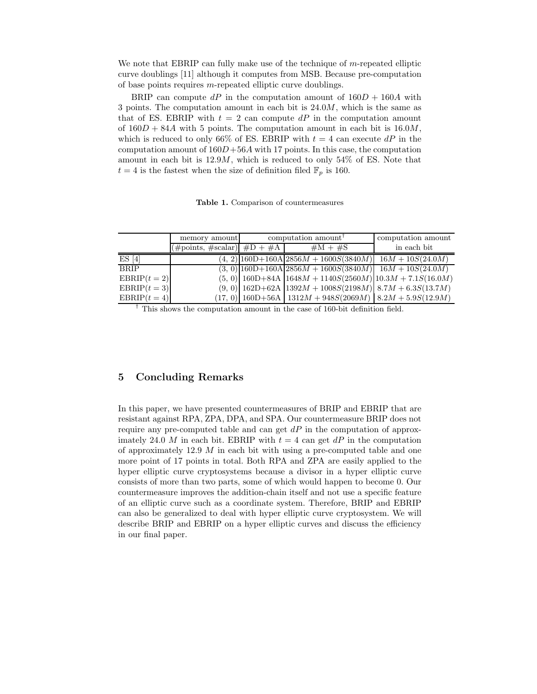We note that EBRIP can fully make use of the technique of m-repeated elliptic curve doublings [11] although it computes from MSB. Because pre-computation of base points requires  $m$ -repeated elliptic curve doublings.

BRIP can compute  $dP$  in the computation amount of  $160D + 160A$  with 3 points. The computation amount in each bit is  $24.0M$ , which is the same as that of ES. EBRIP with  $t = 2$  can compute dP in the computation amount of  $160D + 84A$  with 5 points. The computation amount in each bit is  $16.0M$ , which is reduced to only 66% of ES. EBRIP with  $t = 4$  can execute dP in the computation amount of  $160D+56A$  with 17 points. In this case, the computation amount in each bit is  $12.9M$ , which is reduced to only  $54\%$  of ES. Note that  $t = 4$  is the fastest when the size of definition filed  $\mathbb{F}_p$  is 160.

**Table 1.** Comparison of countermeasures

|                | memory amount                                    | computation amount <sup><math>\uparrow</math></sup> |                                                               | computation amount |
|----------------|--------------------------------------------------|-----------------------------------------------------|---------------------------------------------------------------|--------------------|
|                | $(\text{\#points}, \text{\#scalar})$ $\#D + \#A$ |                                                     | $\#M + \#S$                                                   | in each bit        |
| ES[4]          |                                                  |                                                     | $(4, 2)$  160D+160A 2856M + 1600S(3840M)  16M + 10S(24.0M)    |                    |
| <b>BRIP</b>    |                                                  |                                                     | $(3, 0)$  160D+160A 2856M + 1600S(3840M)  16M + 10S(24.0M)    |                    |
| $EBRIP(t = 2)$ |                                                  |                                                     | $(5, 0)$ 160D+84A 1648M + 1140S(2560M) 10.3M + 7.1S(16.0M)    |                    |
| $EBRIP(t = 3)$ |                                                  |                                                     | $(9, 0)$ 162D+62A  1392M + 1008S(2198M)   8.7M + 6.3S(13.7M)  |                    |
| $EBRIP(t = 4)$ |                                                  |                                                     | $(17, 0)$ 160D+56A   1312M + 948S(2069M)   8.2M + 5.9S(12.9M) |                    |

*†* This shows the computation amount in the case of 160-bit definition field.

## **5 Concluding Remarks**

In this paper, we have presented countermeasures of BRIP and EBRIP that are resistant against RPA, ZPA, DPA, and SPA. Our countermeasure BRIP does not require any pre-computed table and can get  $dP$  in the computation of approximately 24.0 M in each bit. EBRIP with  $t = 4$  can get  $dP$  in the computation of approximately 12.9  $M$  in each bit with using a pre-computed table and one more point of 17 points in total. Both RPA and ZPA are easily applied to the hyper elliptic curve cryptosystems because a divisor in a hyper elliptic curve consists of more than two parts, some of which would happen to become 0. Our countermeasure improves the addition-chain itself and not use a specific feature of an elliptic curve such as a coordinate system. Therefore, BRIP and EBRIP can also be generalized to deal with hyper elliptic curve cryptosystem. We will describe BRIP and EBRIP on a hyper elliptic curves and discuss the efficiency in our final paper.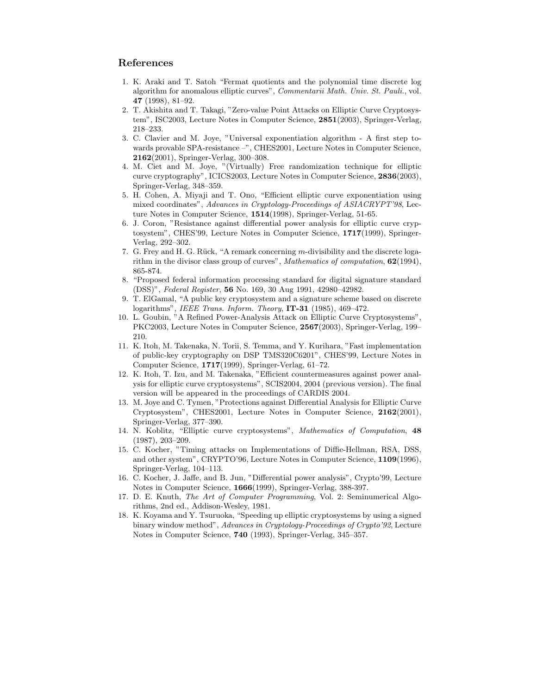## **References**

- 1. K. Araki and T. Satoh "Fermat quotients and the polynomial time discrete log algorithm for anomalous elliptic curves", *Commentarii Math. Univ. St. Pauli.*, vol. **47** (1998), 81–92.
- 2. T. Akishita and T. Takagi, "Zero-value Point Attacks on Elliptic Curve Cryptosystem", ISC2003, Lecture Notes in Computer Science, **2851**(2003), Springer-Verlag, 218–233.
- 3. C. Clavier and M. Joye, "Universal exponentiation algorithm A first step towards provable SPA-resistance –", CHES2001, Lecture Notes in Computer Science, **2162**(2001), Springer-Verlag, 300–308.
- 4. M. Ciet and M. Joye, "(Virtually) Free randomization technique for elliptic curve cryptography", ICICS2003, Lecture Notes in Computer Science, **2836**(2003), Springer-Verlag, 348–359.
- 5. H. Cohen, A. Miyaji and T. Ono, "Efficient elliptic curve exponentiation using mixed coordinates", *Advances in Cryptology-Proceedings of ASIACRYPT'98*, Lecture Notes in Computer Science, **1514**(1998), Springer-Verlag, 51-65.
- 6. J. Coron, "Resistance against differential power analysis for elliptic curve cryptosystem", CHES'99, Lecture Notes in Computer Science, **1717**(1999), Springer-Verlag, 292–302.
- 7. G. Frey and H. G. R¨uck, "A remark concerning *m*-divisibility and the discrete logarithm in the divisor class group of curves", *Mathematics of computation*, **62**(1994), 865-874.
- 8. "Proposed federal information processing standard for digital signature standard (DSS)", *Federal Register*, **56** No. 169, 30 Aug 1991, 42980–42982.
- 9. T. ElGamal, "A public key cryptosystem and a signature scheme based on discrete logarithms", *IEEE Trans. Inform. Theory*, **IT-31** (1985), 469–472.
- 10. L. Goubin, "A Refined Power-Analysis Attack on Elliptic Curve Cryptosystems", PKC2003, Lecture Notes in Computer Science, **2567**(2003), Springer-Verlag, 199– 210.
- 11. K. Itoh, M. Takenaka, N. Torii, S. Temma, and Y. Kurihara, "Fast implementation of public-key cryptography on DSP TMS320C6201", CHES'99, Lecture Notes in Computer Science, **1717**(1999), Springer-Verlag, 61–72.
- 12. K. Itoh, T. Izu, and M. Takenaka, "Efficient countermeasures against power analysis for elliptic curve cryptosystems", SCIS2004, 2004 (previous version). The final version will be appeared in the proceedings of CARDIS 2004.
- 13. M. Joye and C. Tymen, "Protections against Differential Analysis for Elliptic Curve Cryptosystem", CHES2001, Lecture Notes in Computer Science, **2162**(2001), Springer-Verlag, 377–390.
- 14. N. Koblitz, "Elliptic curve cryptosystems", *Mathematics of Computation*, **48** (1987), 203–209.
- 15. C. Kocher, "Timing attacks on Implementations of Diffie-Hellman, RSA, DSS, and other system", CRYPTO'96, Lecture Notes in Computer Science, **1109**(1996), Springer-Verlag, 104–113.
- 16. C. Kocher, J. Jaffe, and B. Jun, "Differential power analysis", Crypto'99, Lecture Notes in Computer Science, **1666**(1999), Springer-Verlag, 388-397.
- 17. D. E. Knuth, *The Art of Computer Programming*, Vol. 2: Seminumerical Algorithms, 2nd ed., Addison-Wesley, 1981.
- 18. K. Koyama and Y. Tsuruoka, "Speeding up elliptic cryptosystems by using a signed binary window method", *Advances in Cryptology-Proceedings of Crypto'92*, Lecture Notes in Computer Science, **740** (1993), Springer-Verlag, 345–357.